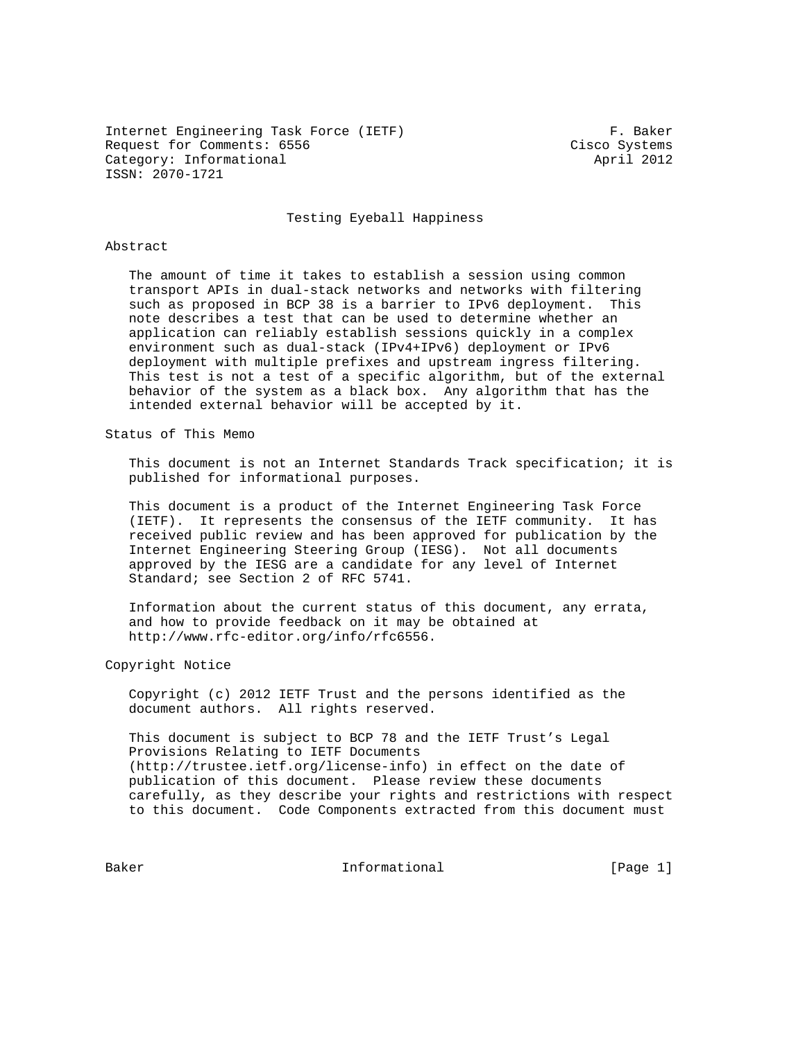Internet Engineering Task Force (IETF) F. Baker Request for Comments: 6556 Cisco Systems Category: Informational and April 2012 ISSN: 2070-1721

Testing Eyeball Happiness

#### Abstract

 The amount of time it takes to establish a session using common transport APIs in dual-stack networks and networks with filtering such as proposed in BCP 38 is a barrier to IPv6 deployment. This note describes a test that can be used to determine whether an application can reliably establish sessions quickly in a complex environment such as dual-stack (IPv4+IPv6) deployment or IPv6 deployment with multiple prefixes and upstream ingress filtering. This test is not a test of a specific algorithm, but of the external behavior of the system as a black box. Any algorithm that has the intended external behavior will be accepted by it.

Status of This Memo

 This document is not an Internet Standards Track specification; it is published for informational purposes.

 This document is a product of the Internet Engineering Task Force (IETF). It represents the consensus of the IETF community. It has received public review and has been approved for publication by the Internet Engineering Steering Group (IESG). Not all documents approved by the IESG are a candidate for any level of Internet Standard; see Section 2 of RFC 5741.

 Information about the current status of this document, any errata, and how to provide feedback on it may be obtained at http://www.rfc-editor.org/info/rfc6556.

Copyright Notice

 Copyright (c) 2012 IETF Trust and the persons identified as the document authors. All rights reserved.

 This document is subject to BCP 78 and the IETF Trust's Legal Provisions Relating to IETF Documents (http://trustee.ietf.org/license-info) in effect on the date of publication of this document. Please review these documents carefully, as they describe your rights and restrictions with respect to this document. Code Components extracted from this document must

Baker **Informational Informational** [Page 1]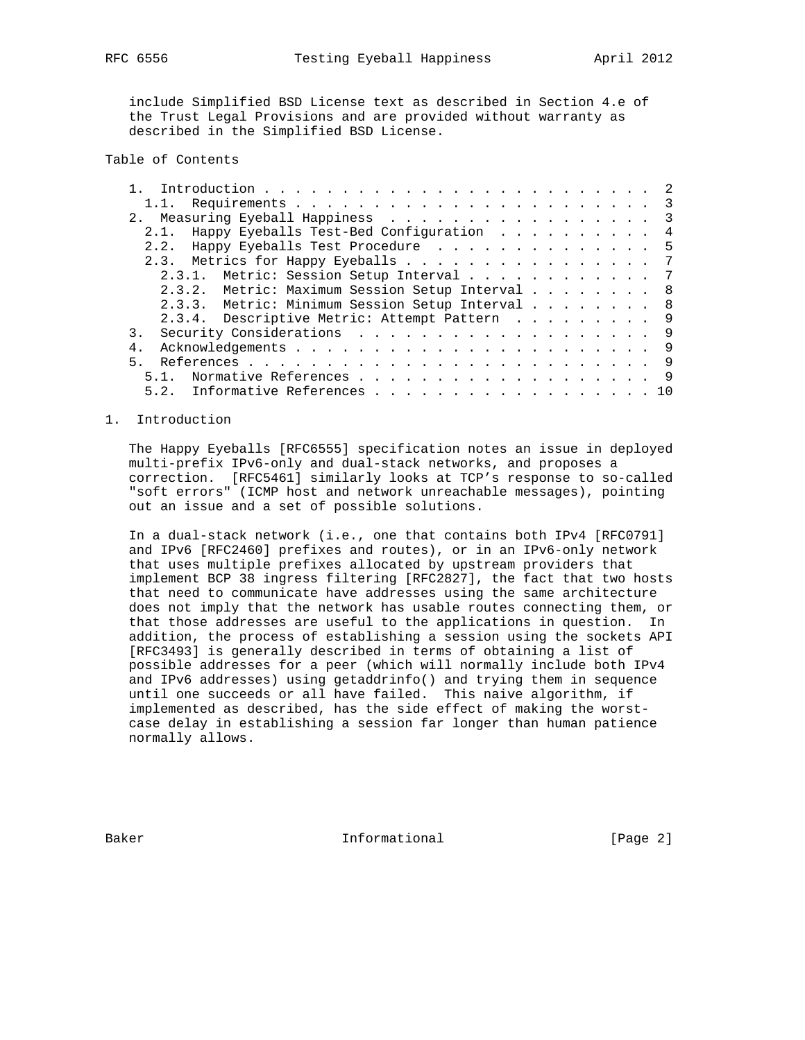include Simplified BSD License text as described in Section 4.e of the Trust Legal Provisions and are provided without warranty as described in the Simplified BSD License.

# Table of Contents

| 2. Measuring Eyeball Happiness 3                |  |
|-------------------------------------------------|--|
| 2.1. Happy Eyeballs Test-Bed Configuration 4    |  |
| 2.2. Happy Eyeballs Test Procedure 5            |  |
| 2.3. Metrics for Happy Eyeballs 7               |  |
| 2.3.1. Metric: Session Setup Interval 7         |  |
| 2.3.2. Metric: Maximum Session Setup Interval 8 |  |
| 2.3.3. Metric: Minimum Session Setup Interval 8 |  |
| 2.3.4. Descriptive Metric: Attempt Pattern 9    |  |
| Security Considerations 9                       |  |
| 4.                                              |  |
| 5 <sub>1</sub>                                  |  |
|                                                 |  |
| 5.2. Informative References 10                  |  |

# 1. Introduction

 The Happy Eyeballs [RFC6555] specification notes an issue in deployed multi-prefix IPv6-only and dual-stack networks, and proposes a correction. [RFC5461] similarly looks at TCP's response to so-called "soft errors" (ICMP host and network unreachable messages), pointing out an issue and a set of possible solutions.

 In a dual-stack network (i.e., one that contains both IPv4 [RFC0791] and IPv6 [RFC2460] prefixes and routes), or in an IPv6-only network that uses multiple prefixes allocated by upstream providers that implement BCP 38 ingress filtering [RFC2827], the fact that two hosts that need to communicate have addresses using the same architecture does not imply that the network has usable routes connecting them, or that those addresses are useful to the applications in question. In addition, the process of establishing a session using the sockets API [RFC3493] is generally described in terms of obtaining a list of possible addresses for a peer (which will normally include both IPv4 and IPv6 addresses) using getaddrinfo() and trying them in sequence until one succeeds or all have failed. This naive algorithm, if implemented as described, has the side effect of making the worst case delay in establishing a session far longer than human patience normally allows.

Baker **Informational** [Page 2]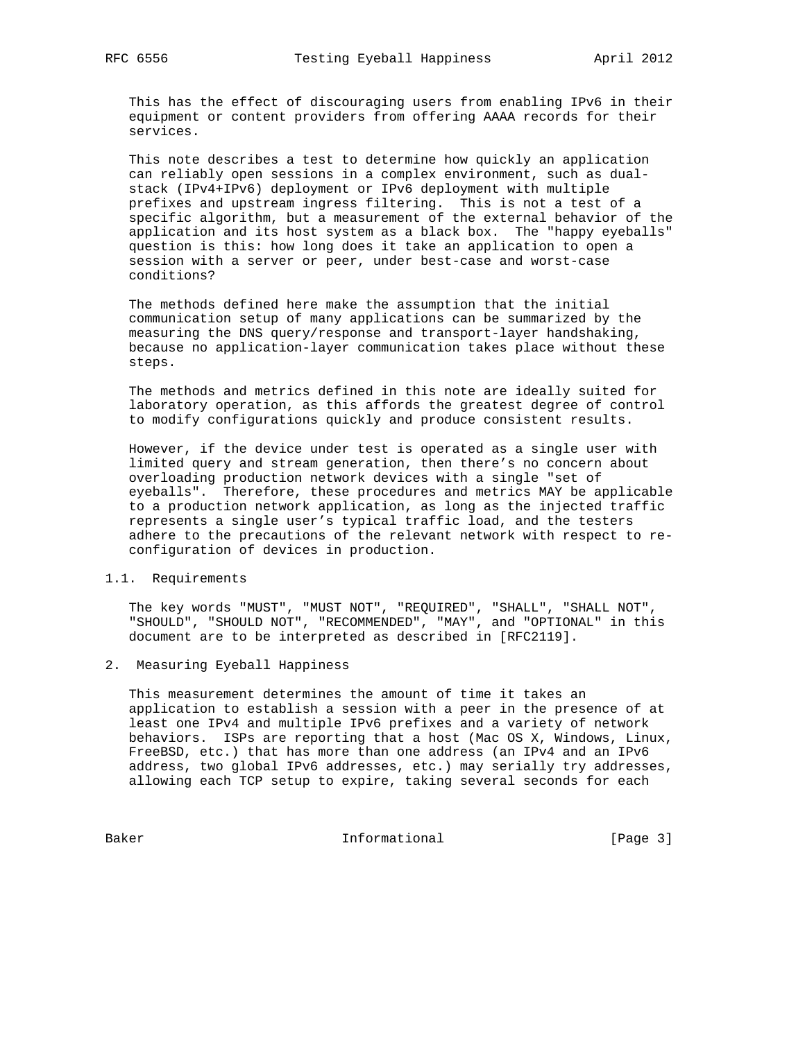This has the effect of discouraging users from enabling IPv6 in their equipment or content providers from offering AAAA records for their services.

 This note describes a test to determine how quickly an application can reliably open sessions in a complex environment, such as dual stack (IPv4+IPv6) deployment or IPv6 deployment with multiple prefixes and upstream ingress filtering. This is not a test of a specific algorithm, but a measurement of the external behavior of the application and its host system as a black box. The "happy eyeballs" question is this: how long does it take an application to open a session with a server or peer, under best-case and worst-case conditions?

 The methods defined here make the assumption that the initial communication setup of many applications can be summarized by the measuring the DNS query/response and transport-layer handshaking, because no application-layer communication takes place without these steps.

 The methods and metrics defined in this note are ideally suited for laboratory operation, as this affords the greatest degree of control to modify configurations quickly and produce consistent results.

 However, if the device under test is operated as a single user with limited query and stream generation, then there's no concern about overloading production network devices with a single "set of eyeballs". Therefore, these procedures and metrics MAY be applicable to a production network application, as long as the injected traffic represents a single user's typical traffic load, and the testers adhere to the precautions of the relevant network with respect to re configuration of devices in production.

## 1.1. Requirements

 The key words "MUST", "MUST NOT", "REQUIRED", "SHALL", "SHALL NOT", "SHOULD", "SHOULD NOT", "RECOMMENDED", "MAY", and "OPTIONAL" in this document are to be interpreted as described in [RFC2119].

2. Measuring Eyeball Happiness

 This measurement determines the amount of time it takes an application to establish a session with a peer in the presence of at least one IPv4 and multiple IPv6 prefixes and a variety of network behaviors. ISPs are reporting that a host (Mac OS X, Windows, Linux, FreeBSD, etc.) that has more than one address (an IPv4 and an IPv6 address, two global IPv6 addresses, etc.) may serially try addresses, allowing each TCP setup to expire, taking several seconds for each

Baker Informational [Page 3]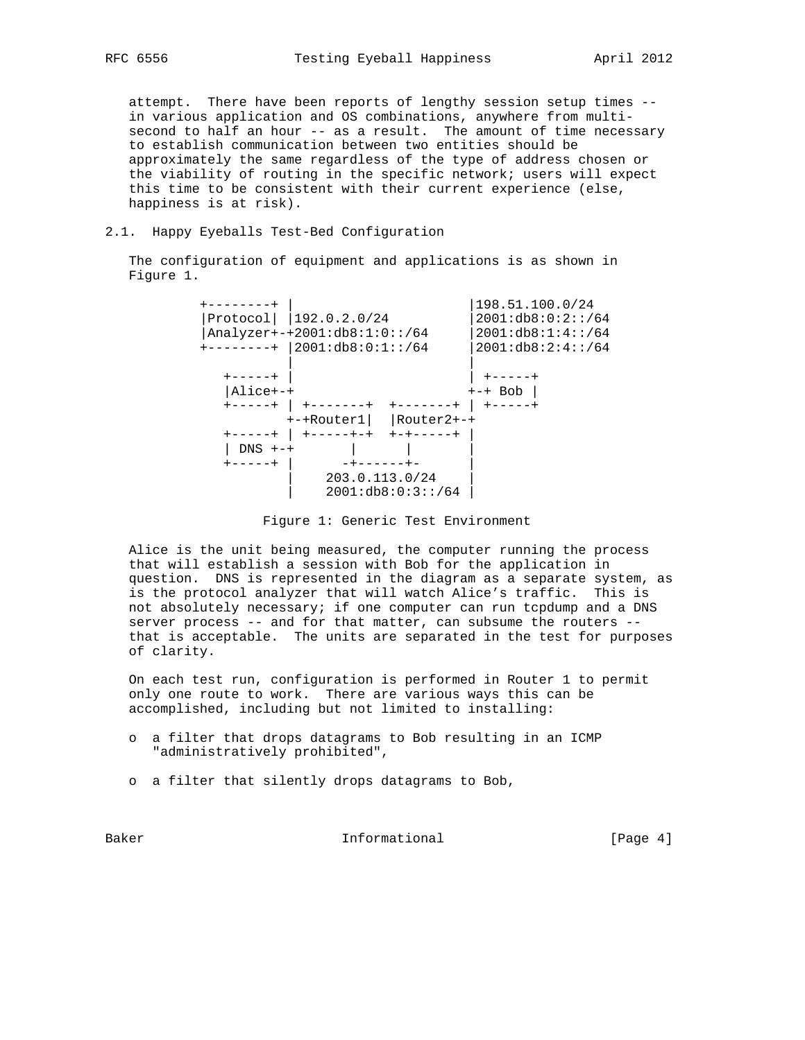attempt. There have been reports of lengthy session setup times - in various application and OS combinations, anywhere from multi second to half an hour -- as a result. The amount of time necessary to establish communication between two entities should be approximately the same regardless of the type of address chosen or the viability of routing in the specific network; users will expect this time to be consistent with their current experience (else, happiness is at risk).

#### 2.1. Happy Eyeballs Test-Bed Configuration

 The configuration of equipment and applications is as shown in Figure 1.

 +--------+ | |198.51.100.0/24 |Protocol| |192.0.2.0/24 |2001:db8:0:2::/64 |Analyzer+-+2001:db8:1:0::/64 |2001:db8:1:4::/64 +--------+ |2001:db8:0:1::/64 |2001:db8:2:4::/64 | | +-----+ | | +-----+  $|$ Alice+-+  $+$  +-+ Bob  $|$  +-----+ | +-------+ +-------+ | +-----+ +-+Router1| |Router2+-+ +-----+ | +-----+-+ +-+-----+ | | DNS +-+ | | | +-----+ | -+------+- |  $\begin{array}{|c|c|c|c|c|}\n\hline\n203.0.113.0/24 & \hline\n\end{array}$  $\begin{array}{|c|c|c|c|c|} \hline \rule{0pt}{12pt} & \rule{0pt}{12pt} 2001 \text{:} \text{db8:0:3}: \text{:} \text{/}64 & \end{array}$ 

 Alice is the unit being measured, the computer running the process that will establish a session with Bob for the application in question. DNS is represented in the diagram as a separate system, as is the protocol analyzer that will watch Alice's traffic. This is not absolutely necessary; if one computer can run tcpdump and a DNS server process -- and for that matter, can subsume the routers - that is acceptable. The units are separated in the test for purposes of clarity.

 On each test run, configuration is performed in Router 1 to permit only one route to work. There are various ways this can be accomplished, including but not limited to installing:

- o a filter that drops datagrams to Bob resulting in an ICMP "administratively prohibited",
- o a filter that silently drops datagrams to Bob,

Baker **Informational Informational** [Page 4]

Figure 1: Generic Test Environment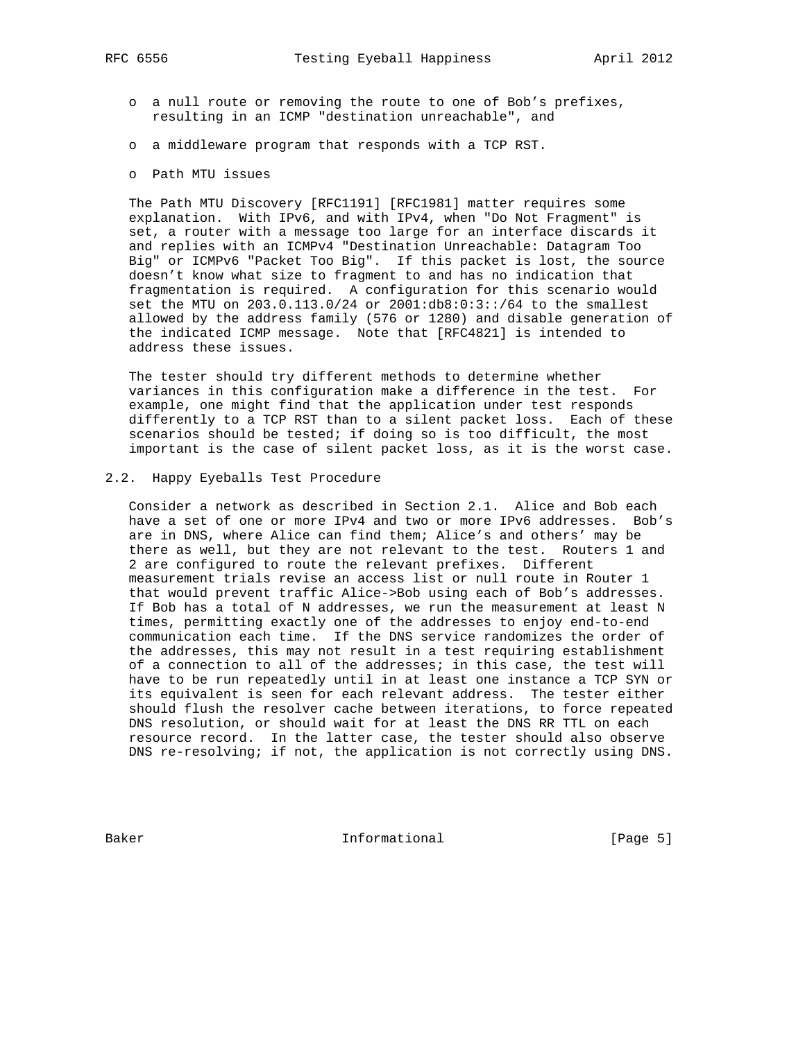- o a null route or removing the route to one of Bob's prefixes, resulting in an ICMP "destination unreachable", and
- o a middleware program that responds with a TCP RST.
- o Path MTU issues

 The Path MTU Discovery [RFC1191] [RFC1981] matter requires some explanation. With IPv6, and with IPv4, when "Do Not Fragment" is set, a router with a message too large for an interface discards it and replies with an ICMPv4 "Destination Unreachable: Datagram Too Big" or ICMPv6 "Packet Too Big". If this packet is lost, the source doesn't know what size to fragment to and has no indication that fragmentation is required. A configuration for this scenario would set the MTU on 203.0.113.0/24 or 2001:db8:0:3::/64 to the smallest allowed by the address family (576 or 1280) and disable generation of the indicated ICMP message. Note that [RFC4821] is intended to address these issues.

 The tester should try different methods to determine whether variances in this configuration make a difference in the test. For example, one might find that the application under test responds differently to a TCP RST than to a silent packet loss. Each of these scenarios should be tested; if doing so is too difficult, the most important is the case of silent packet loss, as it is the worst case.

# 2.2. Happy Eyeballs Test Procedure

 Consider a network as described in Section 2.1. Alice and Bob each have a set of one or more IPv4 and two or more IPv6 addresses. Bob's are in DNS, where Alice can find them; Alice's and others' may be there as well, but they are not relevant to the test. Routers 1 and 2 are configured to route the relevant prefixes. Different measurement trials revise an access list or null route in Router 1 that would prevent traffic Alice->Bob using each of Bob's addresses. If Bob has a total of N addresses, we run the measurement at least N times, permitting exactly one of the addresses to enjoy end-to-end communication each time. If the DNS service randomizes the order of the addresses, this may not result in a test requiring establishment of a connection to all of the addresses; in this case, the test will have to be run repeatedly until in at least one instance a TCP SYN or its equivalent is seen for each relevant address. The tester either should flush the resolver cache between iterations, to force repeated DNS resolution, or should wait for at least the DNS RR TTL on each resource record. In the latter case, the tester should also observe DNS re-resolving; if not, the application is not correctly using DNS.

Baker Informational [Page 5]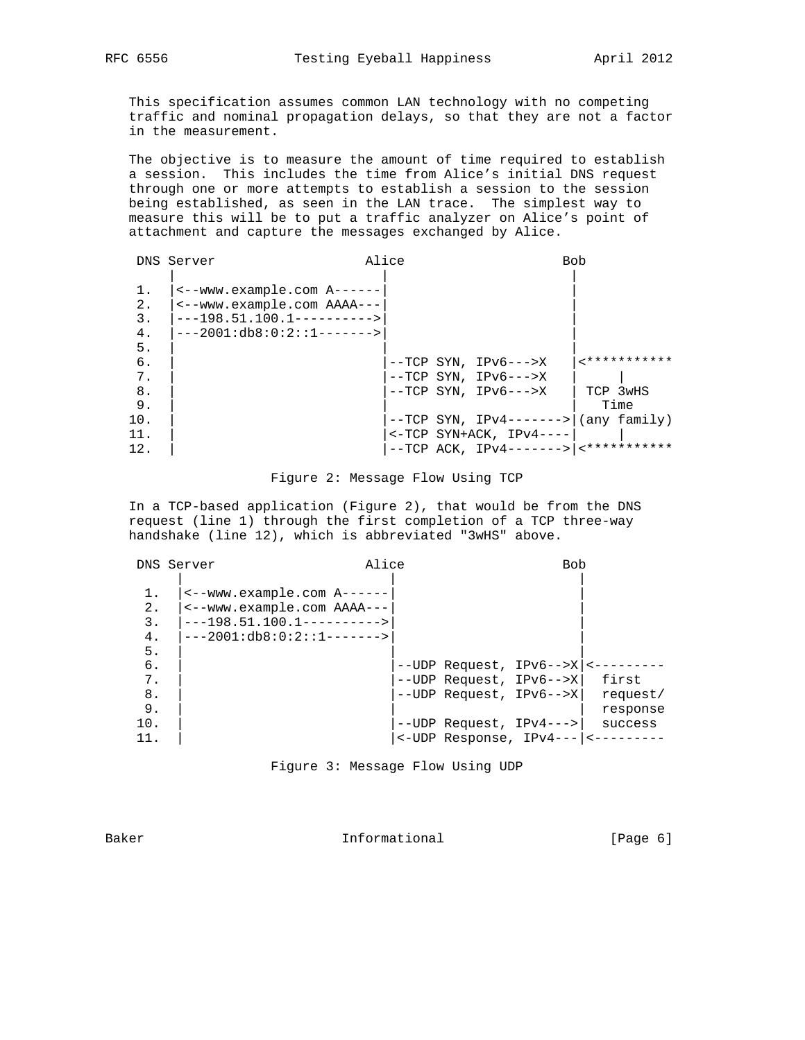This specification assumes common LAN technology with no competing traffic and nominal propagation delays, so that they are not a factor in the measurement.

 The objective is to measure the amount of time required to establish a session. This includes the time from Alice's initial DNS request through one or more attempts to establish a session to the session being established, as seen in the LAN trace. The simplest way to measure this will be to put a traffic analyzer on Alice's point of attachment and capture the messages exchanged by Alice.

|                      | DNS Server                                                                                                            | Alice |                                                        | <b>Bob</b>                                                |
|----------------------|-----------------------------------------------------------------------------------------------------------------------|-------|--------------------------------------------------------|-----------------------------------------------------------|
| 1.<br>2.<br>3.<br>4. | <--www.example.com A------<br><--www.example.com AAAA---<br>$---198.51.100.1---------$<br>$---2001:db8:0:2::1------>$ |       |                                                        |                                                           |
| 5.<br>б.<br>7.       |                                                                                                                       |       | $--TCP$ SYN, IPv6--->X<br>$--TCP$ SYN, IPv6--->X       | -***********                                              |
| 8.<br>9.             |                                                                                                                       |       | $--TCP$ SYN, IPv6--->X                                 | TCP 3wHS<br>Time                                          |
| 10.<br>11.<br>12.    |                                                                                                                       |       | $--TCP$ SYN, IPv4-------> <br>$<-TCP SYN+ACK, IPV4---$ | (any family)<br>$--TCP$ ACK, IPv4------->   <************ |

|  |  | Figure 2: Message Flow Using TCP |  |  |  |
|--|--|----------------------------------|--|--|--|
|--|--|----------------------------------|--|--|--|

 In a TCP-based application (Figure 2), that would be from the DNS request (line 1) through the first completion of a TCP three-way handshake (line 12), which is abbreviated "3wHS" above.

|     | DNS Server                            | Alice |                                                        | <b>Bob</b> |          |
|-----|---------------------------------------|-------|--------------------------------------------------------|------------|----------|
|     |                                       |       |                                                        |            |          |
| 1.  | $\leftarrow$ -www.example.com A------ |       |                                                        |            |          |
| 2.  | <--www.example.com AAAA---            |       |                                                        |            |          |
| 3.  | $---198.51.100.1--------$             |       |                                                        |            |          |
| 4.  | $---2001:db8:0:2::1------>$           |       |                                                        |            |          |
| 5.  |                                       |       |                                                        |            |          |
| б.  |                                       |       | $--UDP$ Request, IPv6-->X <---                         |            |          |
| 7.  |                                       |       | --UDP Request, IPv6-->X                                |            | first    |
| 8.  |                                       |       | --UDP Request, IPv6-->X                                |            | request/ |
| 9.  |                                       |       |                                                        |            | response |
| 10. |                                       |       | $--UDP$ Request, IPv4--->                              |            | success  |
| 11. |                                       |       | $\leftarrow$ UDP Response, IPv4--- $\left  \right $ <- |            |          |

Baker **Informational** [Page 6]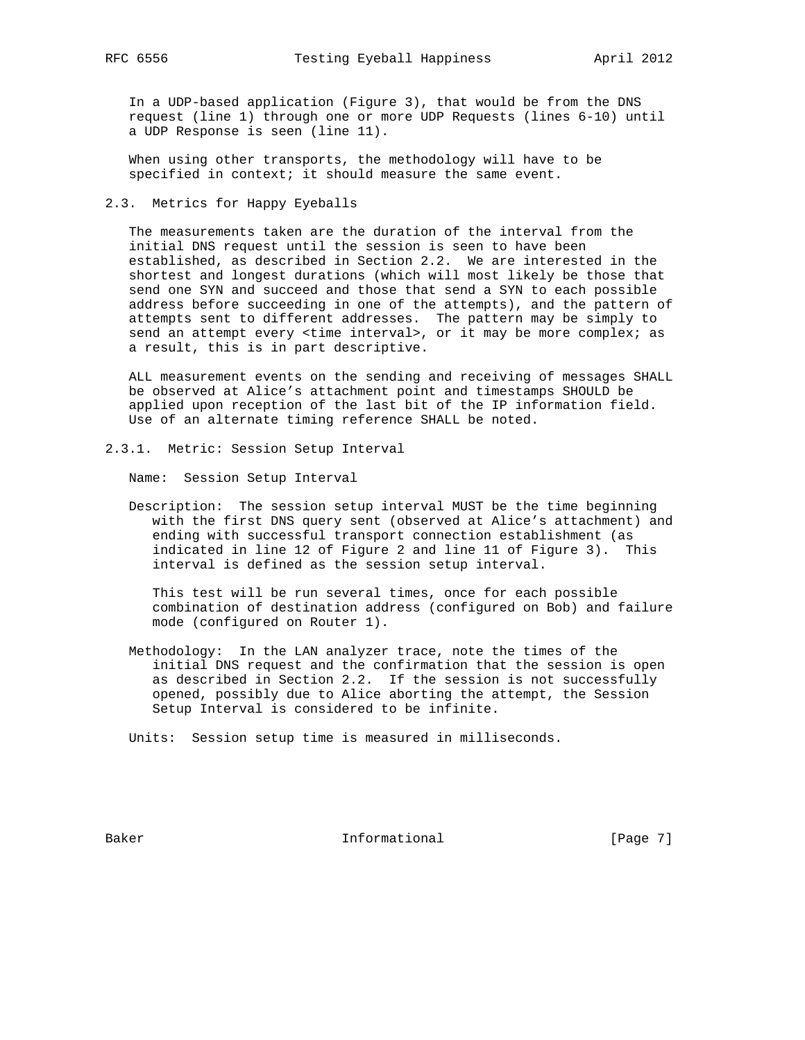In a UDP-based application (Figure 3), that would be from the DNS request (line 1) through one or more UDP Requests (lines 6-10) until a UDP Response is seen (line 11).

 When using other transports, the methodology will have to be specified in context; it should measure the same event.

2.3. Metrics for Happy Eyeballs

 The measurements taken are the duration of the interval from the initial DNS request until the session is seen to have been established, as described in Section 2.2. We are interested in the shortest and longest durations (which will most likely be those that send one SYN and succeed and those that send a SYN to each possible address before succeeding in one of the attempts), and the pattern of attempts sent to different addresses. The pattern may be simply to send an attempt every <time interval>, or it may be more complex; as a result, this is in part descriptive.

 ALL measurement events on the sending and receiving of messages SHALL be observed at Alice's attachment point and timestamps SHOULD be applied upon reception of the last bit of the IP information field. Use of an alternate timing reference SHALL be noted.

2.3.1. Metric: Session Setup Interval

Name: Session Setup Interval

 Description: The session setup interval MUST be the time beginning with the first DNS query sent (observed at Alice's attachment) and ending with successful transport connection establishment (as indicated in line 12 of Figure 2 and line 11 of Figure 3). This interval is defined as the session setup interval.

 This test will be run several times, once for each possible combination of destination address (configured on Bob) and failure mode (configured on Router 1).

 Methodology: In the LAN analyzer trace, note the times of the initial DNS request and the confirmation that the session is open as described in Section 2.2. If the session is not successfully opened, possibly due to Alice aborting the attempt, the Session Setup Interval is considered to be infinite.

Units: Session setup time is measured in milliseconds.

Baker **Informational** [Page 7]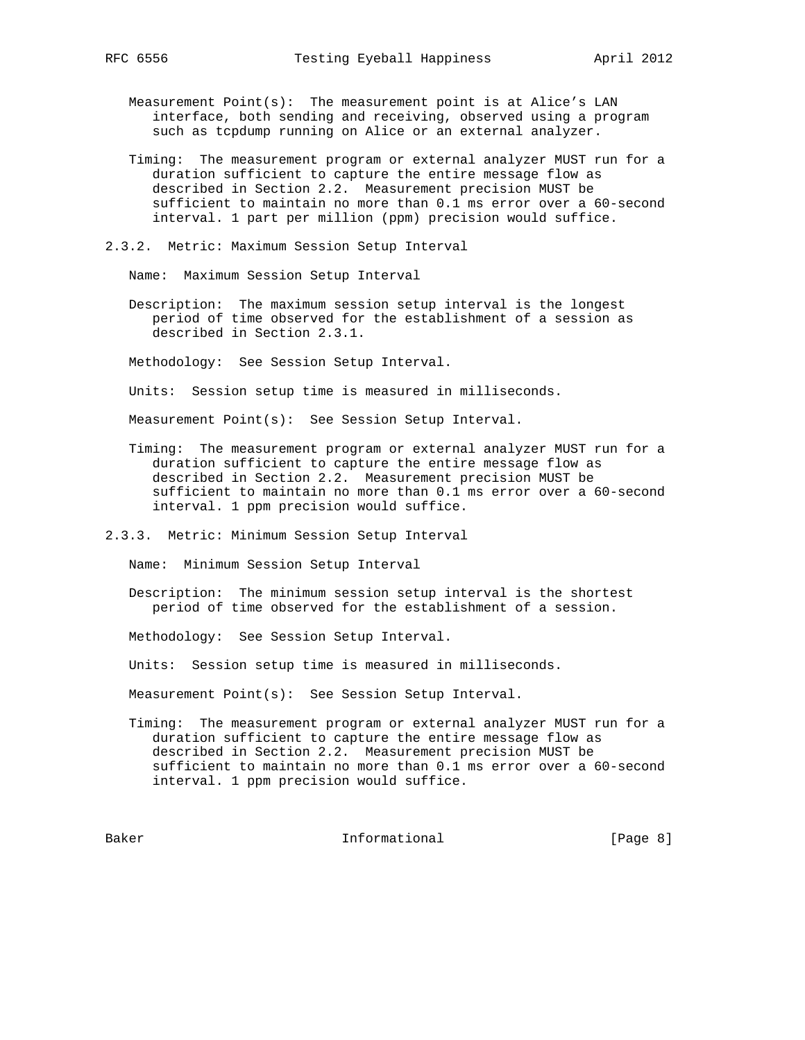Measurement Point(s): The measurement point is at Alice's LAN interface, both sending and receiving, observed using a program such as tcpdump running on Alice or an external analyzer.

- Timing: The measurement program or external analyzer MUST run for a duration sufficient to capture the entire message flow as described in Section 2.2. Measurement precision MUST be sufficient to maintain no more than 0.1 ms error over a 60-second interval. 1 part per million (ppm) precision would suffice.
- 2.3.2. Metric: Maximum Session Setup Interval

Name: Maximum Session Setup Interval

 Description: The maximum session setup interval is the longest period of time observed for the establishment of a session as described in Section 2.3.1.

Methodology: See Session Setup Interval.

Units: Session setup time is measured in milliseconds.

Measurement Point(s): See Session Setup Interval.

 Timing: The measurement program or external analyzer MUST run for a duration sufficient to capture the entire message flow as described in Section 2.2. Measurement precision MUST be sufficient to maintain no more than 0.1 ms error over a 60-second interval. 1 ppm precision would suffice.

2.3.3. Metric: Minimum Session Setup Interval

Name: Minimum Session Setup Interval

- Description: The minimum session setup interval is the shortest period of time observed for the establishment of a session.
- Methodology: See Session Setup Interval.
- Units: Session setup time is measured in milliseconds.

Measurement Point(s): See Session Setup Interval.

 Timing: The measurement program or external analyzer MUST run for a duration sufficient to capture the entire message flow as described in Section 2.2. Measurement precision MUST be sufficient to maintain no more than 0.1 ms error over a 60-second interval. 1 ppm precision would suffice.

Baker Informational [Page 8]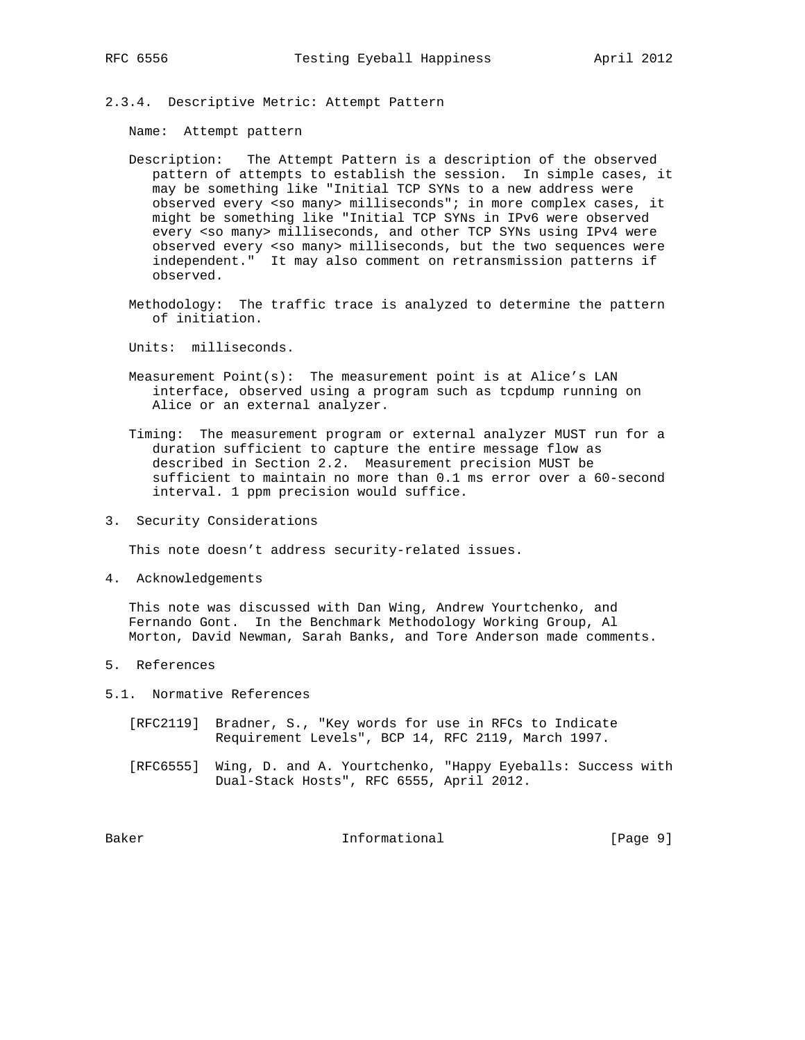- 
- 2.3.4. Descriptive Metric: Attempt Pattern

Name: Attempt pattern

- Description: The Attempt Pattern is a description of the observed pattern of attempts to establish the session. In simple cases, it may be something like "Initial TCP SYNs to a new address were observed every <so many> milliseconds"; in more complex cases, it might be something like "Initial TCP SYNs in IPv6 were observed every <so many> milliseconds, and other TCP SYNs using IPv4 were observed every <so many> milliseconds, but the two sequences were independent." It may also comment on retransmission patterns if observed.
- Methodology: The traffic trace is analyzed to determine the pattern of initiation.

Units: milliseconds.

- Measurement  $Point(s)$ : The measurement point is at Alice's LAN interface, observed using a program such as tcpdump running on Alice or an external analyzer.
- Timing: The measurement program or external analyzer MUST run for a duration sufficient to capture the entire message flow as described in Section 2.2. Measurement precision MUST be sufficient to maintain no more than 0.1 ms error over a 60-second interval. 1 ppm precision would suffice.
- 3. Security Considerations

This note doesn't address security-related issues.

4. Acknowledgements

 This note was discussed with Dan Wing, Andrew Yourtchenko, and Fernando Gont. In the Benchmark Methodology Working Group, Al Morton, David Newman, Sarah Banks, and Tore Anderson made comments.

- 5. References
- 5.1. Normative References
	- [RFC2119] Bradner, S., "Key words for use in RFCs to Indicate Requirement Levels", BCP 14, RFC 2119, March 1997.
	- [RFC6555] Wing, D. and A. Yourtchenko, "Happy Eyeballs: Success with Dual-Stack Hosts", RFC 6555, April 2012.

Baker Informational [Page 9]